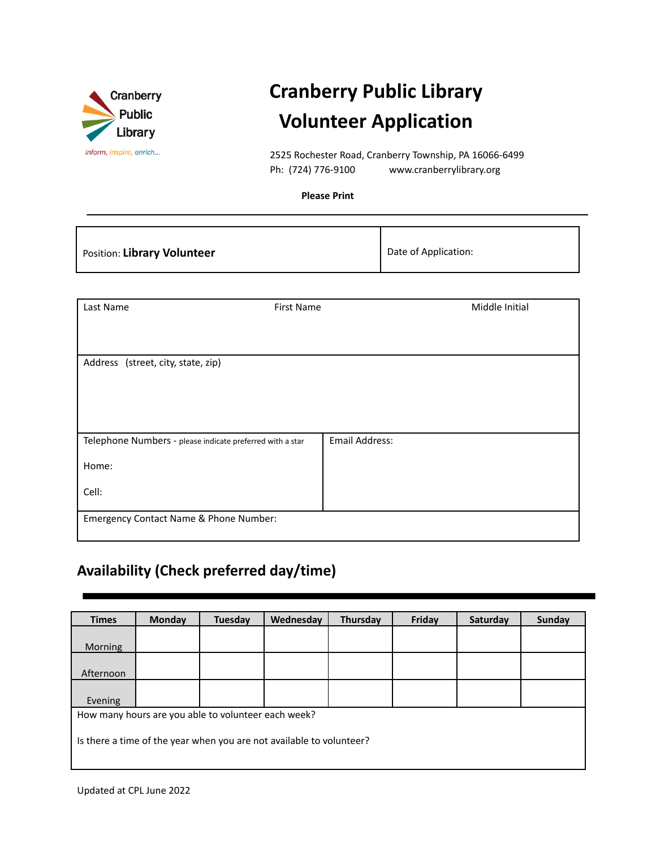

# **Cranberry Public Library Volunteer Application**

2525 Rochester Road, Cranberry Township, PA 16066-6499 Ph: (724) 776-9100 www.cranberrylibrary.org

**Please Print**

| Position: Library Volunteer | Date of Application: |
|-----------------------------|----------------------|
|-----------------------------|----------------------|

| Last Name                                                 | <b>First Name</b> | Middle Initial |
|-----------------------------------------------------------|-------------------|----------------|
|                                                           |                   |                |
| Address (street, city, state, zip)                        |                   |                |
|                                                           |                   |                |
|                                                           |                   |                |
| Telephone Numbers - please indicate preferred with a star |                   | Email Address: |
| Home:                                                     |                   |                |
| Cell:                                                     |                   |                |
| Emergency Contact Name & Phone Number:                    |                   |                |

## **Availability (Check preferred day/time)**

| <b>Times</b>                                                         | Monday                                              | <b>Tuesday</b> | Wednesday | Thursday | Friday | Saturday | Sunday |
|----------------------------------------------------------------------|-----------------------------------------------------|----------------|-----------|----------|--------|----------|--------|
|                                                                      |                                                     |                |           |          |        |          |        |
| <b>Morning</b>                                                       |                                                     |                |           |          |        |          |        |
|                                                                      |                                                     |                |           |          |        |          |        |
| Afternoon                                                            |                                                     |                |           |          |        |          |        |
|                                                                      |                                                     |                |           |          |        |          |        |
| Evening                                                              |                                                     |                |           |          |        |          |        |
|                                                                      | How many hours are you able to volunteer each week? |                |           |          |        |          |        |
|                                                                      |                                                     |                |           |          |        |          |        |
| Is there a time of the year when you are not available to volunteer? |                                                     |                |           |          |        |          |        |
|                                                                      |                                                     |                |           |          |        |          |        |
|                                                                      |                                                     |                |           |          |        |          |        |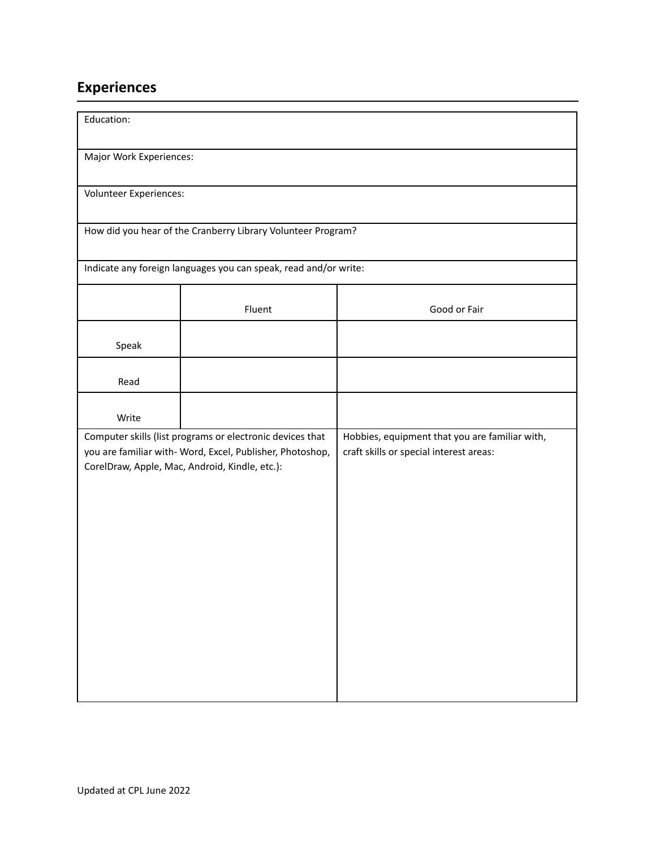## **Experiences**

| Education:                                                                                                                                                               |                                                                  |                                                                                           |  |
|--------------------------------------------------------------------------------------------------------------------------------------------------------------------------|------------------------------------------------------------------|-------------------------------------------------------------------------------------------|--|
| Major Work Experiences:                                                                                                                                                  |                                                                  |                                                                                           |  |
| Volunteer Experiences:                                                                                                                                                   |                                                                  |                                                                                           |  |
|                                                                                                                                                                          | How did you hear of the Cranberry Library Volunteer Program?     |                                                                                           |  |
|                                                                                                                                                                          | Indicate any foreign languages you can speak, read and/or write: |                                                                                           |  |
|                                                                                                                                                                          | Fluent                                                           | Good or Fair                                                                              |  |
| Speak                                                                                                                                                                    |                                                                  |                                                                                           |  |
| Read                                                                                                                                                                     |                                                                  |                                                                                           |  |
| Write                                                                                                                                                                    |                                                                  |                                                                                           |  |
| Computer skills (list programs or electronic devices that<br>you are familiar with- Word, Excel, Publisher, Photoshop,<br>CorelDraw, Apple, Mac, Android, Kindle, etc.): |                                                                  | Hobbies, equipment that you are familiar with,<br>craft skills or special interest areas: |  |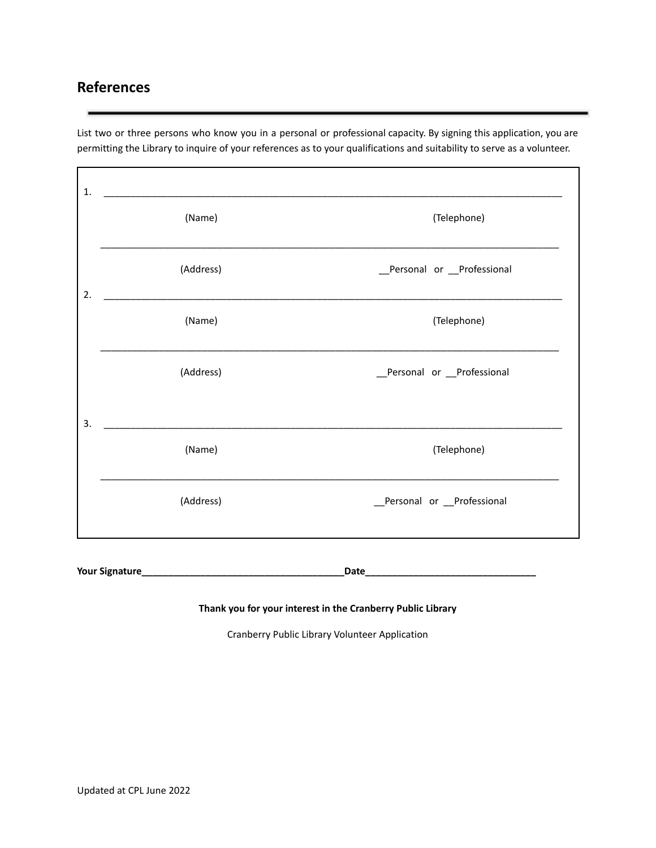### **References**

List two or three persons who know you in a personal or professional capacity. By signing this application, you are permitting the Library to inquire of your references as to your qualifications and suitability to serve as a volunteer.

| (Name)    | (Telephone)                |
|-----------|----------------------------|
| (Address) | _Personal or _Professional |
| (Name)    | (Telephone)                |
| (Address) | _Personal or _Professional |
|           |                            |
| (Name)    | (Telephone)                |
| (Address) | _Personal or _Professional |
|           |                            |

**Your Signature\_\_\_\_\_\_\_\_\_\_\_\_\_\_\_\_\_\_\_\_\_\_\_\_\_\_\_\_\_\_\_\_\_\_\_\_\_\_Date\_\_\_\_\_\_\_\_\_\_\_\_\_\_\_\_\_\_\_\_\_\_\_\_\_\_\_\_\_\_\_\_**

#### **Thank you for your interest in the Cranberry Public Library**

Cranberry Public Library Volunteer Application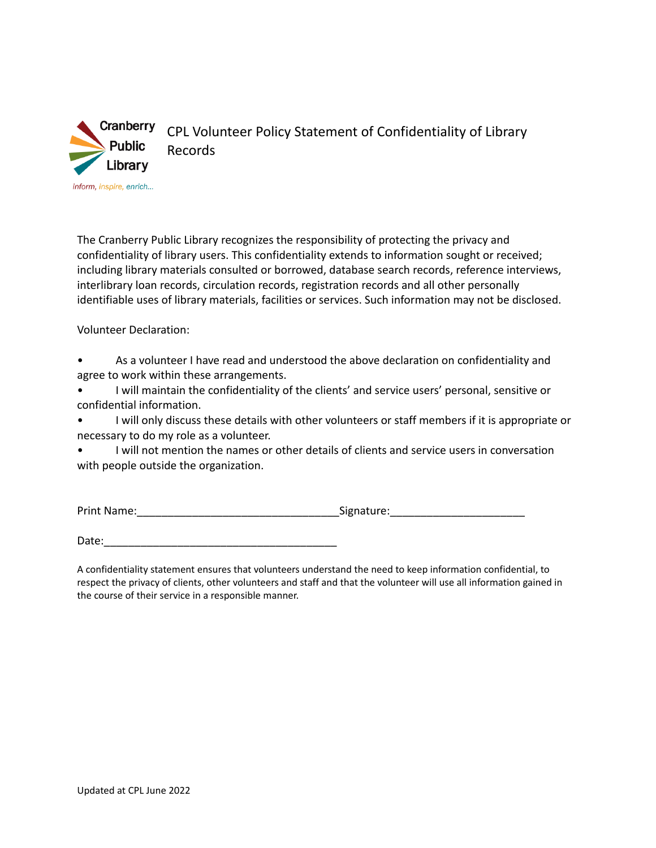

CPL Volunteer Policy Statement of Confidentiality of Library Records

The Cranberry Public Library recognizes the responsibility of protecting the privacy and confidentiality of library users. This confidentiality extends to information sought or received; including library materials consulted or borrowed, database search records, reference interviews, interlibrary loan records, circulation records, registration records and all other personally identifiable uses of library materials, facilities or services. Such information may not be disclosed.

Volunteer Declaration:

- As a volunteer I have read and understood the above declaration on confidentiality and agree to work within these arrangements.
- I will maintain the confidentiality of the clients' and service users' personal, sensitive or confidential information.
- I will only discuss these details with other volunteers or staff members if it is appropriate or necessary to do my role as a volunteer.
- I will not mention the names or other details of clients and service users in conversation with people outside the organization.

| <b>Print Name:</b> | Signature: |
|--------------------|------------|
|                    |            |

Date:

A confidentiality statement ensures that volunteers understand the need to keep information confidential, to respect the privacy of clients, other volunteers and staff and that the volunteer will use all information gained in the course of their service in a responsible manner.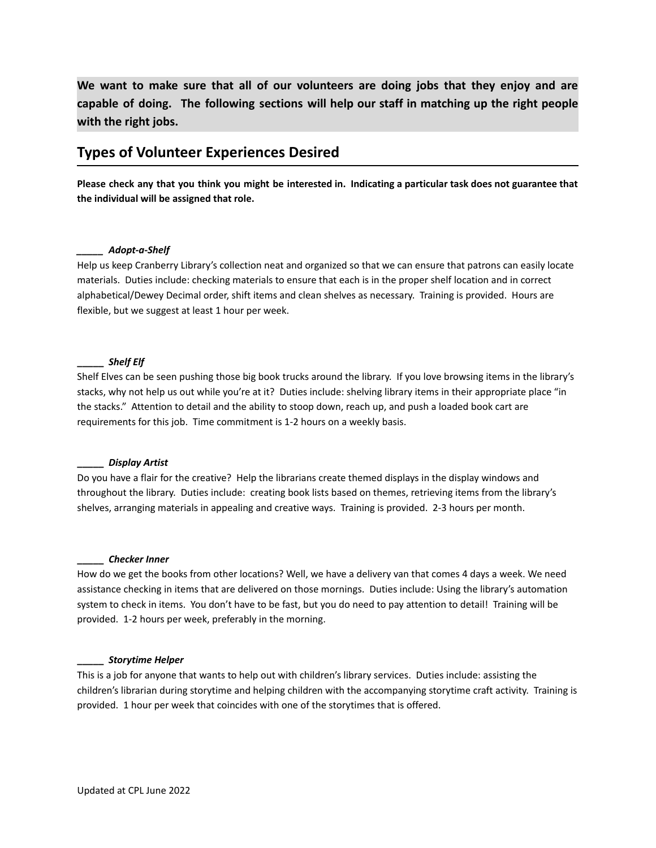**We want to make sure that all of our volunteers are doing jobs that they enjoy and are capable of doing. The following sections will help our staff in matching up the right people with the right jobs.**

### **Types of Volunteer Experiences Desired**

Please check any that you think you might be interested in. Indicating a particular task does not guarantee that **the individual will be assigned that role.**

#### *\_\_\_\_\_ Adopt-a-Shelf*

Help us keep Cranberry Library's collection neat and organized so that we can ensure that patrons can easily locate materials. Duties include: checking materials to ensure that each is in the proper shelf location and in correct alphabetical/Dewey Decimal order, shift items and clean shelves as necessary. Training is provided. Hours are flexible, but we suggest at least 1 hour per week.

#### **\_\_\_\_\_** *Shelf Elf*

Shelf Elves can be seen pushing those big book trucks around the library. If you love browsing items in the library's stacks, why not help us out while you're at it? Duties include: shelving library items in their appropriate place "in the stacks." Attention to detail and the ability to stoop down, reach up, and push a loaded book cart are requirements for this job. Time commitment is 1-2 hours on a weekly basis.

#### **\_\_\_\_\_** *Display Artist*

Do you have a flair for the creative? Help the librarians create themed displays in the display windows and throughout the library. Duties include: creating book lists based on themes, retrieving items from the library's shelves, arranging materials in appealing and creative ways. Training is provided. 2-3 hours per month.

#### **\_\_\_\_\_** *Checker Inner*

How do we get the books from other locations? Well, we have a delivery van that comes 4 days a week. We need assistance checking in items that are delivered on those mornings. Duties include: Using the library's automation system to check in items. You don't have to be fast, but you do need to pay attention to detail! Training will be provided. 1-2 hours per week, preferably in the morning.

#### **\_\_\_\_\_** *Storytime Helper*

This is a job for anyone that wants to help out with children's library services. Duties include: assisting the children's librarian during storytime and helping children with the accompanying storytime craft activity. Training is provided. 1 hour per week that coincides with one of the storytimes that is offered.